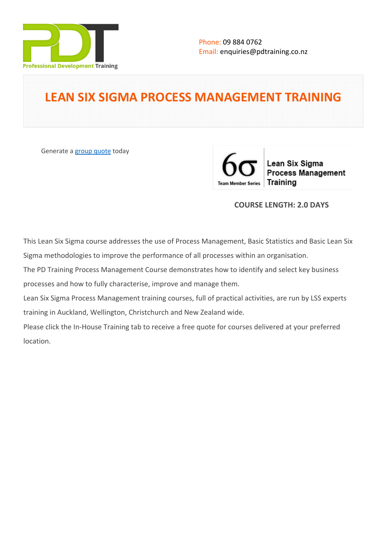

# **LEAN SIX SIGMA PROCESS MANAGEMENT TRAINING**

Generate a [group quote](https://pdtraining.co.nz/inhouse-training-quote?cse=PDT0169) today

Lean Six Sigma **Process Management** Training **Team Member Series** 

# **COURSE LENGTH: 2.0 DAYS**

This Lean Six Sigma course addresses the use of Process Management, Basic Statistics and Basic Lean Six Sigma methodologies to improve the performance of all processes within an organisation.

The PD Training Process Management Course demonstrates how to identify and select key business processes and how to fully characterise, improve and manage them.

Lean Six Sigma Process Management training courses, full of practical activities, are run by LSS experts training in Auckland, Wellington, Christchurch and New Zealand wide.

Please click the In-House Training tab to receive a free quote for courses delivered at your preferred location.